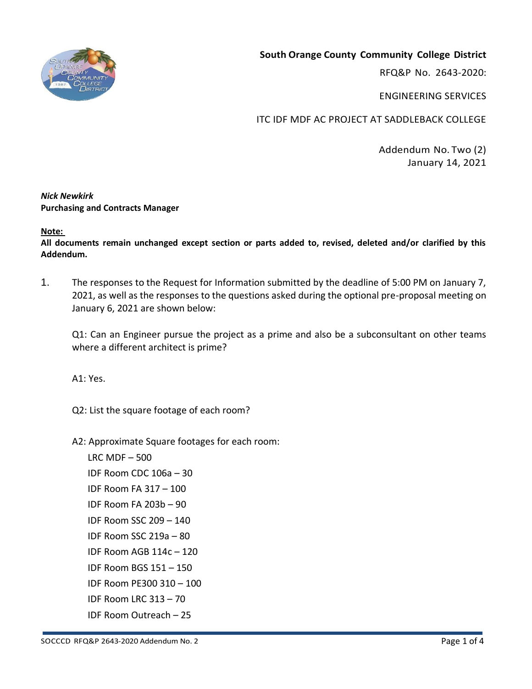

RFQ&P No. 2643-2020:

ENGINEERING SERVICES

ITC IDF MDF AC PROJECT AT SADDLEBACK COLLEGE

Addendum No. Two (2) January 14, 2021

## *Nick Newkirk*  **Purchasing and Contracts Manager**

**Note:** 

**All documents remain unchanged except section or parts added to, revised, deleted and/or clarified by this Addendum.**

1. The responses to the Request for Information submitted by the deadline of 5:00 PM on January 7, 2021, as well as the responses to the questions asked during the optional pre-proposal meeting on January 6, 2021 are shown below:

Q1: Can an Engineer pursue the project as a prime and also be a subconsultant on other teams where a different architect is prime?

A1: Yes.

Q2: List the square footage of each room?

A2: Approximate Square footages for each room:

LRC MDF – 500 IDF Room CDC 106a – 30 IDF Room FA 317 – 100 IDF Room FA 203b – 90 IDF Room SSC 209 – 140 IDF Room SSC 219a – 80 IDF Room AGB 114c – 120 IDF Room BGS 151 – 150 IDF Room PE300 310 – 100 IDF Room LRC 313 – 70 IDF Room Outreach – 25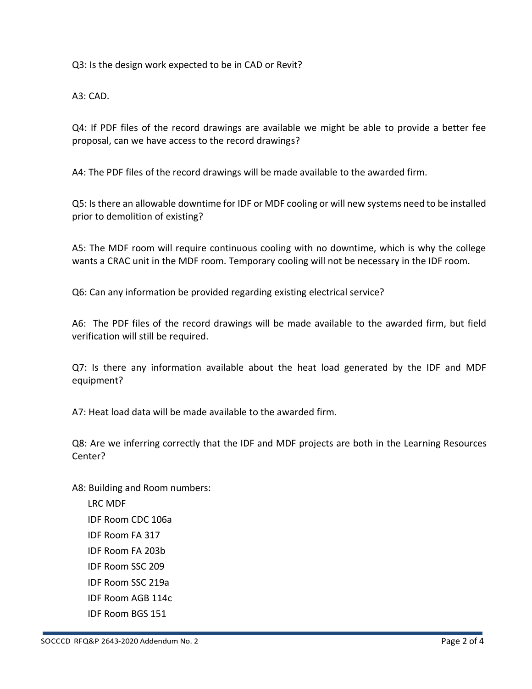Q3: Is the design work expected to be in CAD or Revit?

A3: CAD.

Q4: If PDF files of the record drawings are available we might be able to provide a better fee proposal, can we have access to the record drawings?

A4: The PDF files of the record drawings will be made available to the awarded firm.

Q5: Is there an allowable downtime for IDF or MDF cooling or will new systems need to be installed prior to demolition of existing?

A5: The MDF room will require continuous cooling with no downtime, which is why the college wants a CRAC unit in the MDF room. Temporary cooling will not be necessary in the IDF room.

Q6: Can any information be provided regarding existing electrical service?

A6: The PDF files of the record drawings will be made available to the awarded firm, but field verification will still be required.

Q7: Is there any information available about the heat load generated by the IDF and MDF equipment?

A7: Heat load data will be made available to the awarded firm.

Q8: Are we inferring correctly that the IDF and MDF projects are both in the Learning Resources Center?

A8: Building and Room numbers: LRC MDF IDF Room CDC 106a IDF Room FA 317 IDF Room FA 203b IDF Room SSC 209 IDF Room SSC 219a IDF Room AGB 114c

SOCCCD RFQ&P 2643-2020 Addendum No. 2 Page 2 of 4

IDF Room BGS 151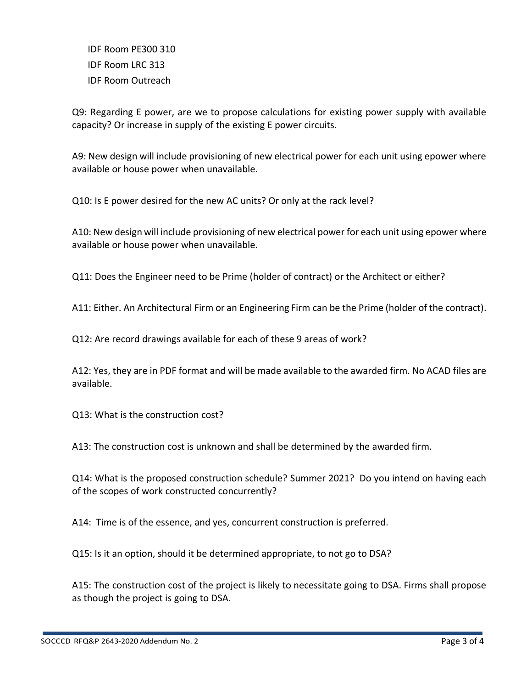IDF Room PE300 310 IDF Room LRC 313 IDF Room Outreach

Q9: Regarding E power, are we to propose calculations for existing power supply with available capacity? Or increase in supply of the existing E power circuits.

A9: New design will include provisioning of new electrical power for each unit using epower where available or house power when unavailable.

Q10: Is E power desired for the new AC units? Or only at the rack level?

A10: New design will include provisioning of new electrical power for each unit using epower where available or house power when unavailable.

Q11: Does the Engineer need to be Prime (holder of contract) or the Architect or either?

A11: Either. An Architectural Firm or an Engineering Firm can be the Prime (holder of the contract).

Q12: Are record drawings available for each of these 9 areas of work?

A12: Yes, they are in PDF format and will be made available to the awarded firm. No ACAD files are available.

Q13: What is the construction cost?

A13: The construction cost is unknown and shall be determined by the awarded firm.

Q14: What is the proposed construction schedule? Summer 2021? Do you intend on having each of the scopes of work constructed concurrently?

A14: Time is of the essence, and yes, concurrent construction is preferred.

Q15: Is it an option, should it be determined appropriate, to not go to DSA?

A15: The construction cost of the project is likely to necessitate going to DSA. Firms shall propose as though the project is going to DSA.